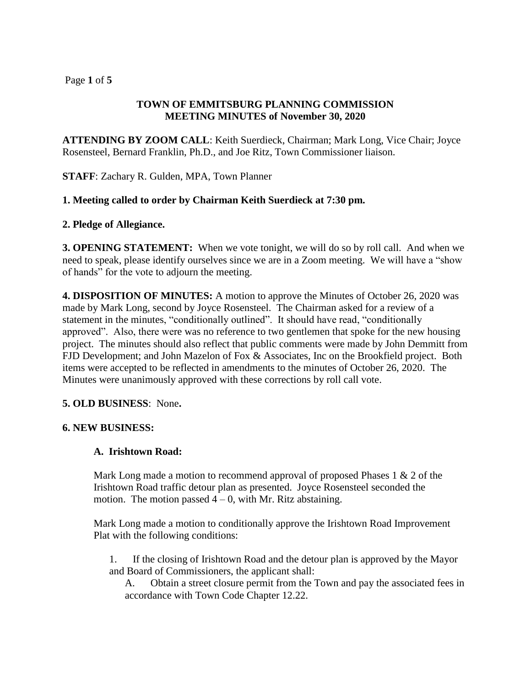# Page **1** of **5**

# **TOWN OF EMMITSBURG PLANNING COMMISSION MEETING MINUTES of November 30, 2020**

**ATTENDING BY ZOOM CALL**: Keith Suerdieck, Chairman; Mark Long, Vice Chair; Joyce Rosensteel, Bernard Franklin, Ph.D., and Joe Ritz, Town Commissioner liaison.

**STAFF**: Zachary R. Gulden, MPA, Town Planner

## **1. Meeting called to order by Chairman Keith Suerdieck at 7:30 pm.**

#### **2. Pledge of Allegiance.**

**3. OPENING STATEMENT:** When we vote tonight, we will do so by roll call. And when we need to speak, please identify ourselves since we are in a Zoom meeting. We will have a "show of hands" for the vote to adjourn the meeting.

**4. DISPOSITION OF MINUTES:** A motion to approve the Minutes of October 26, 2020 was made by Mark Long, second by Joyce Rosensteel. The Chairman asked for a review of a statement in the minutes, "conditionally outlined". It should have read, "conditionally approved". Also, there were was no reference to two gentlemen that spoke for the new housing project. The minutes should also reflect that public comments were made by John Demmitt from FJD Development; and John Mazelon of Fox & Associates, Inc on the Brookfield project. Both items were accepted to be reflected in amendments to the minutes of October 26, 2020. The Minutes were unanimously approved with these corrections by roll call vote.

#### **5. OLD BUSINESS**: None**.**

#### **6. NEW BUSINESS:**

# **A. Irishtown Road:**

Mark Long made a motion to recommend approval of proposed Phases  $1 \& 2$  of the Irishtown Road traffic detour plan as presented. Joyce Rosensteel seconded the motion. The motion passed  $4 - 0$ , with Mr. Ritz abstaining.

Mark Long made a motion to conditionally approve the Irishtown Road Improvement Plat with the following conditions:

1. If the closing of Irishtown Road and the detour plan is approved by the Mayor and Board of Commissioners, the applicant shall:

A. Obtain a street closure permit from the Town and pay the associated fees in accordance with Town Code Chapter 12.22.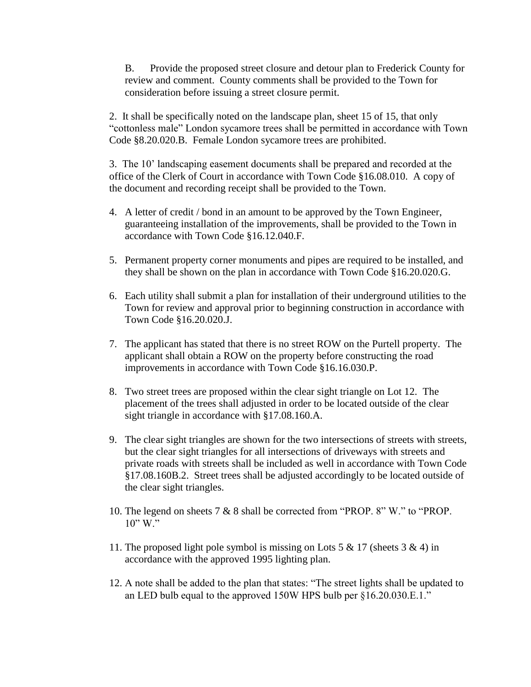B. Provide the proposed street closure and detour plan to Frederick County for review and comment. County comments shall be provided to the Town for consideration before issuing a street closure permit.

2. It shall be specifically noted on the landscape plan, sheet 15 of 15, that only "cottonless male" London sycamore trees shall be permitted in accordance with Town Code §8.20.020.B. Female London sycamore trees are prohibited.

3. The 10' landscaping easement documents shall be prepared and recorded at the office of the Clerk of Court in accordance with Town Code §16.08.010. A copy of the document and recording receipt shall be provided to the Town.

- 4. A letter of credit / bond in an amount to be approved by the Town Engineer, guaranteeing installation of the improvements, shall be provided to the Town in accordance with Town Code §16.12.040.F.
- 5. Permanent property corner monuments and pipes are required to be installed, and they shall be shown on the plan in accordance with Town Code §16.20.020.G.
- 6. Each utility shall submit a plan for installation of their underground utilities to the Town for review and approval prior to beginning construction in accordance with Town Code §16.20.020.J.
- 7. The applicant has stated that there is no street ROW on the Purtell property. The applicant shall obtain a ROW on the property before constructing the road improvements in accordance with Town Code §16.16.030.P.
- 8. Two street trees are proposed within the clear sight triangle on Lot 12. The placement of the trees shall adjusted in order to be located outside of the clear sight triangle in accordance with §17.08.160.A.
- 9. The clear sight triangles are shown for the two intersections of streets with streets, but the clear sight triangles for all intersections of driveways with streets and private roads with streets shall be included as well in accordance with Town Code §17.08.160B.2. Street trees shall be adjusted accordingly to be located outside of the clear sight triangles.
- 10. The legend on sheets 7 & 8 shall be corrected from "PROP. 8" W." to "PROP. 10" W."
- 11. The proposed light pole symbol is missing on Lots 5 & 17 (sheets 3 & 4) in accordance with the approved 1995 lighting plan.
- 12. A note shall be added to the plan that states: "The street lights shall be updated to an LED bulb equal to the approved 150W HPS bulb per §16.20.030.E.1."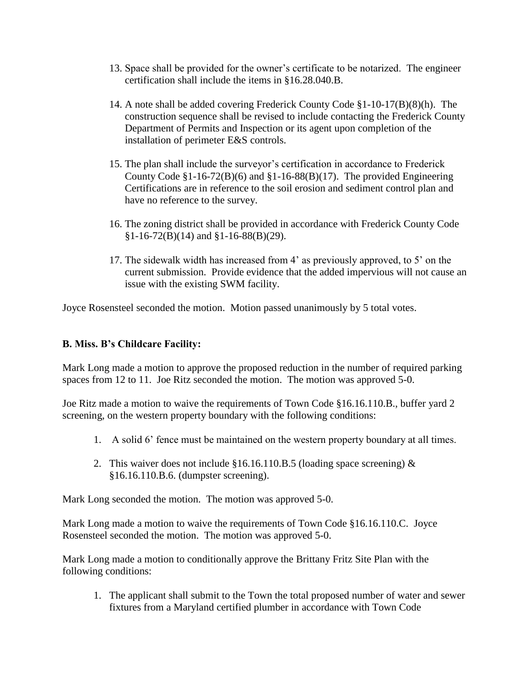- 13. Space shall be provided for the owner's certificate to be notarized. The engineer certification shall include the items in §16.28.040.B.
- 14. A note shall be added covering Frederick County Code §1-10-17(B)(8)(h). The construction sequence shall be revised to include contacting the Frederick County Department of Permits and Inspection or its agent upon completion of the installation of perimeter E&S controls.
- 15. The plan shall include the surveyor's certification in accordance to Frederick County Code  $$1-16-72(B)(6)$  and  $$1-16-88(B)(17)$ . The provided Engineering Certifications are in reference to the soil erosion and sediment control plan and have no reference to the survey.
- 16. The zoning district shall be provided in accordance with Frederick County Code  $§1-16-72(B)(14)$  and  $§1-16-88(B)(29)$ .
- 17. The sidewalk width has increased from 4' as previously approved, to 5' on the current submission. Provide evidence that the added impervious will not cause an issue with the existing SWM facility.

Joyce Rosensteel seconded the motion. Motion passed unanimously by 5 total votes.

# **B. Miss. B's Childcare Facility:**

Mark Long made a motion to approve the proposed reduction in the number of required parking spaces from 12 to 11. Joe Ritz seconded the motion. The motion was approved 5-0.

Joe Ritz made a motion to waive the requirements of Town Code §16.16.110.B., buffer yard 2 screening, on the western property boundary with the following conditions:

- 1. A solid 6' fence must be maintained on the western property boundary at all times.
- 2. This waiver does not include  $$16.16.110.B.5$  (loading space screening)  $\&$ §16.16.110.B.6. (dumpster screening).

Mark Long seconded the motion. The motion was approved 5-0.

Mark Long made a motion to waive the requirements of Town Code §16.16.110.C. Joyce Rosensteel seconded the motion. The motion was approved 5-0.

Mark Long made a motion to conditionally approve the Brittany Fritz Site Plan with the following conditions:

1. The applicant shall submit to the Town the total proposed number of water and sewer fixtures from a Maryland certified plumber in accordance with Town Code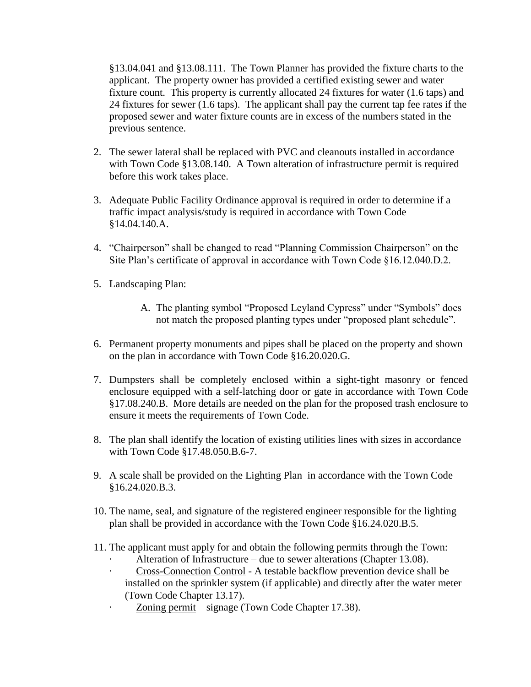§13.04.041 and §13.08.111. The Town Planner has provided the fixture charts to the applicant. The property owner has provided a certified existing sewer and water fixture count. This property is currently allocated 24 fixtures for water (1.6 taps) and 24 fixtures for sewer (1.6 taps). The applicant shall pay the current tap fee rates if the proposed sewer and water fixture counts are in excess of the numbers stated in the previous sentence.

- 2. The sewer lateral shall be replaced with PVC and cleanouts installed in accordance with Town Code §13.08.140. A Town alteration of infrastructure permit is required before this work takes place.
- 3. Adequate Public Facility Ordinance approval is required in order to determine if a traffic impact analysis/study is required in accordance with Town Code §14.04.140.A.
- 4. "Chairperson" shall be changed to read "Planning Commission Chairperson" on the Site Plan's certificate of approval in accordance with Town Code §16.12.040.D.2.
- 5. Landscaping Plan:
	- A. The planting symbol "Proposed Leyland Cypress" under "Symbols" does not match the proposed planting types under "proposed plant schedule".
- 6. Permanent property monuments and pipes shall be placed on the property and shown on the plan in accordance with Town Code §16.20.020.G.
- 7. Dumpsters shall be completely enclosed within a sight-tight masonry or fenced enclosure equipped with a self-latching door or gate in accordance with Town Code §17.08.240.B. More details are needed on the plan for the proposed trash enclosure to ensure it meets the requirements of Town Code.
- 8. The plan shall identify the location of existing utilities lines with sizes in accordance with Town Code §17.48.050.B.6-7.
- 9. A scale shall be provided on the Lighting Plan in accordance with the Town Code §16.24.020.B.3.
- 10. The name, seal, and signature of the registered engineer responsible for the lighting plan shall be provided in accordance with the Town Code §16.24.020.B.5.
- 11. The applicant must apply for and obtain the following permits through the Town:
	- Alteration of Infrastructure due to sewer alterations (Chapter 13.08).
	- · Cross-Connection Control A testable backflow prevention device shall be installed on the sprinkler system (if applicable) and directly after the water meter (Town Code Chapter 13.17).
	- Zoning permit signage (Town Code Chapter 17.38).